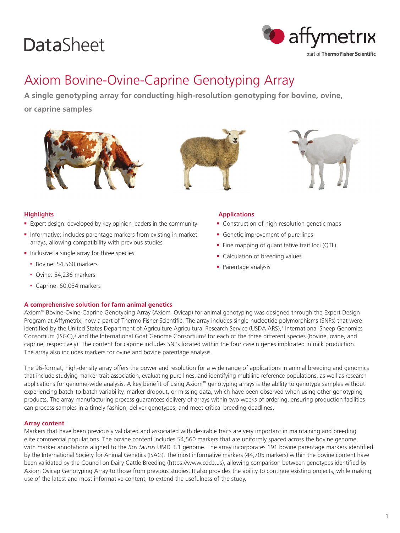# **DataSheet**



# Axiom Bovine-Ovine-Caprine Genotyping Array

**A single genotyping array for conducting high-resolution genotyping for bovine, ovine, or caprine samples**







# **Highlights**

- **Expert design: developed by key opinion leaders in the community**
- **n** Informative: includes parentage markers from existing in-market arrays, allowing compatibility with previous studies
- **n** Inclusive: a single array for three species
	- Bovine: 54,560 markers
	- Ovine: 54,236 markers
	- Caprine: 60,034 markers

## **A comprehensive solution for farm animal genetics**

#### **Applications**

- **EX Construction of high-resolution genetic maps**
- **Exercice improvement of pure lines**
- $\blacksquare$  Fine mapping of quantitative trait loci (QTL)
- Calculation of breeding values
- Parentage analysis

Axiom™ Bovine-Ovine-Caprine Genotyping Array (Axiom\_Ovicap) for animal genotyping was designed through the Expert Design Program at Affymetrix, now a part of Thermo Fisher Scientific. The array includes single-nucleotide polymorphisms (SNPs) that were identified by the United States Department of Agriculture Agricultural Research Service (USDA ARS),<sup>1</sup> International Sheep Genomics Consortium (ISGC),<sup>2</sup> and the International Goat Genome Consortium<sup>3</sup> for each of the three different species (bovine, ovine, and caprine, respectively). The content for caprine includes SNPs located within the four casein genes implicated in milk production. The array also includes markers for ovine and bovine parentage analysis.

The 96-format, high-density array offers the power and resolution for a wide range of applications in animal breeding and genomics that include studying marker-trait association, evaluating pure lines, and identifying multiline reference populations, as well as research applications for genome-wide analysis. A key benefit of using Axiom™ genotyping arrays is the ability to genotype samples without experiencing batch-to-batch variability, marker dropout, or missing data, which have been observed when using other genotyping products. The array manufacturing process guarantees delivery of arrays within two weeks of ordering, ensuring production facilities can process samples in a timely fashion, deliver genotypes, and meet critical breeding deadlines.

## **Array content**

Markers that have been previously validated and associated with desirable traits are very important in maintaining and breeding elite commercial populations. The bovine content includes 54,560 markers that are uniformly spaced across the bovine genome, with marker annotations aligned to the *Bos taurus* UMD 3.1 genome. The array incorporates 191 bovine parentage markers identified by the International Society for Animal Genetics (ISAG). The most informative markers (44,705 markers) within the bovine content have been validated by the Council on Dairy Cattle Breeding (https://www.cdcb.us), allowing comparison between genotypes identified by Axiom Ovicap Genotyping Array to those from previous studies. It also provides the ability to continue existing projects, while making use of the latest and most informative content, to extend the usefulness of the study.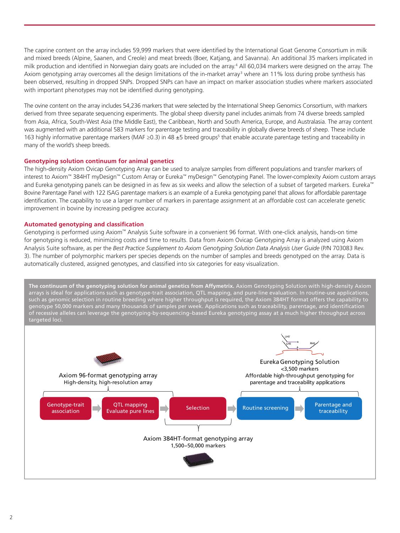The caprine content on the array includes 59,999 markers that were identified by the International Goat Genome Consortium in milk and mixed breeds (Alpine, Saanen, and Creole) and meat breeds (Boer, Katjang, and Savanna). An additional 35 markers implicated in milk production and identified in Norwegian dairy goats are included on the array.<sup>4</sup> All 60,034 markers were designed on the array. The Axiom genotyping array overcomes all the design limitations of the in-market array<sup>3</sup> where an 11% loss during probe synthesis has been observed, resulting in dropped SNPs. Dropped SNPs can have an impact on marker association studies where markers associated with important phenotypes may not be identified during genotyping.

The ovine content on the array includes 54,236 markers that were selected by the International Sheep Genomics Consortium, with markers derived from three separate sequencing experiments. The global sheep diversity panel includes animals from 74 diverse breeds sampled from Asia, Africa, South-West Asia (the Middle East), the Caribbean, North and South America, Europe, and Australasia. The array content was augmented with an additional 583 markers for parentage testing and traceability in globally diverse breeds of sheep. These include 163 highly informative parentage markers (MAF ≥0.3) in 48 ±5 breed groups<sup>5</sup> that enable accurate parentage testing and traceability in many of the world's sheep breeds.

#### **Genotyping solution continuum for animal genetics**

The high-density Axiom Ovicap Genotyping Array can be used to analyze samples from different populations and transfer markers of interest to Axiom™ 384HT myDesign™ Custom Array or Eureka™ myDesign™ Genotyping Panel. The lower-complexity Axiom custom arrays and Eureka genotyping panels can be designed in as few as six weeks and allow the selection of a subset of targeted markers. Eureka™ Bovine Parentage Panel with 122 ISAG parentage markers is an example of a Eureka genotyping panel that allows for affordable parentage identification. The capability to use a larger number of markers in parentage assignment at an affordable cost can accelerate genetic improvement in bovine by increasing pedigree accuracy.

#### **Automated genotyping and classification**

Genotyping is performed using Axiom™ Analysis Suite software in a convenient 96 format. With one-click analysis, hands-on time for genotyping is reduced, minimizing costs and time to results. Data from Axiom Ovicap Genotyping Array is analyzed using Axiom Analysis Suite software, as per the *Best Practice Supplement to Axiom Genotyping Solution Data Analysis User Guide* (P/N 703083 Rev. 3). The number of polymorphic markers per species depends on the number of samples and breeds genotyped on the array. Data is automatically clustered, assigned genotypes, and classified into six categories for easy visualization.

The continuum of the genotyping solution for animal genetics from Affymetrix. Axiom Genotyping Solution with high-density Axiom arrays is ideal for applications such as genotype-trait association, QTL mapping, and pure-line evaluation. In routine-use applications, such as genomic selection in routine breeding where higher throughput is required, the Axiom 384HT format offers the capability to genotype 50,000 markers and many thousands of samples per week. Applications such as traceability, parentage, and identification of recessive alleles can leverage the genotyping-by-sequencing–based Eureka genotyping assay at a much higher throughput across targeted loci.